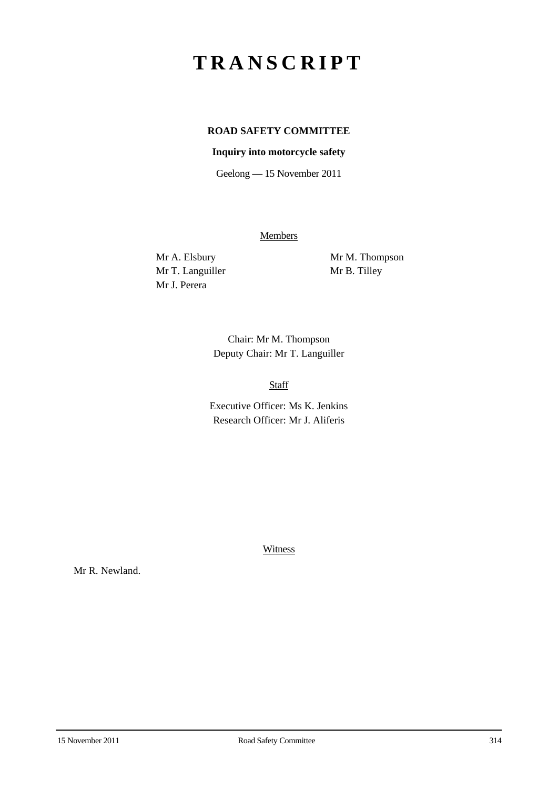# **TRANSCRIPT**

# **ROAD SAFETY COMMITTEE**

## **Inquiry into motorcycle safety**

Geelong — 15 November 2011

**Members** 

Mr T. Languiller Mr B. Tilley Mr J. Perera

Mr A. Elsbury Mr M. Thompson

Chair: Mr M. Thompson Deputy Chair: Mr T. Languiller

Staff

Executive Officer: Ms K. Jenkins Research Officer: Mr J. Aliferis

Witness

Mr R. Newland.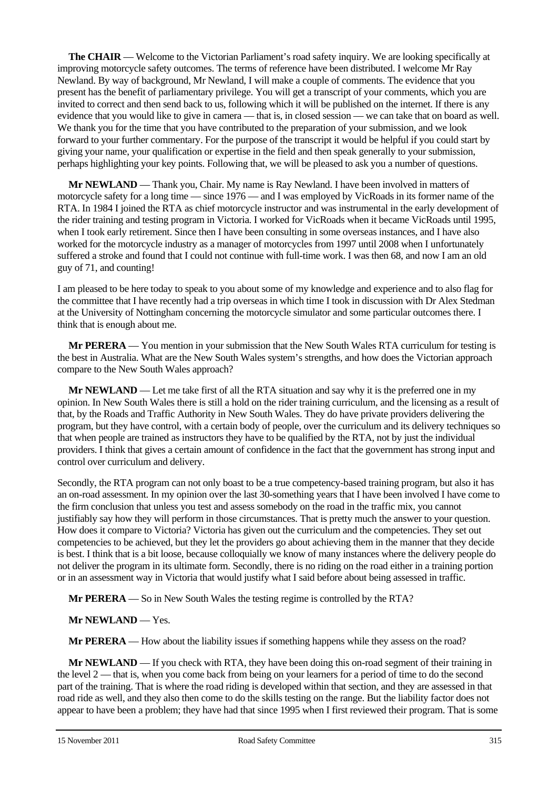**The CHAIR** — Welcome to the Victorian Parliament's road safety inquiry. We are looking specifically at improving motorcycle safety outcomes. The terms of reference have been distributed. I welcome Mr Ray Newland. By way of background, Mr Newland, I will make a couple of comments. The evidence that you present has the benefit of parliamentary privilege. You will get a transcript of your comments, which you are invited to correct and then send back to us, following which it will be published on the internet. If there is any evidence that you would like to give in camera — that is, in closed session — we can take that on board as well. We thank you for the time that you have contributed to the preparation of your submission, and we look forward to your further commentary. For the purpose of the transcript it would be helpful if you could start by giving your name, your qualification or expertise in the field and then speak generally to your submission, perhaps highlighting your key points. Following that, we will be pleased to ask you a number of questions.

**Mr NEWLAND** — Thank you, Chair. My name is Ray Newland. I have been involved in matters of motorcycle safety for a long time — since 1976 — and I was employed by VicRoads in its former name of the RTA. In 1984 I joined the RTA as chief motorcycle instructor and was instrumental in the early development of the rider training and testing program in Victoria. I worked for VicRoads when it became VicRoads until 1995, when I took early retirement. Since then I have been consulting in some overseas instances, and I have also worked for the motorcycle industry as a manager of motorcycles from 1997 until 2008 when I unfortunately suffered a stroke and found that I could not continue with full-time work. I was then 68, and now I am an old guy of 71, and counting!

I am pleased to be here today to speak to you about some of my knowledge and experience and to also flag for the committee that I have recently had a trip overseas in which time I took in discussion with Dr Alex Stedman at the University of Nottingham concerning the motorcycle simulator and some particular outcomes there. I think that is enough about me.

**Mr PERERA** — You mention in your submission that the New South Wales RTA curriculum for testing is the best in Australia. What are the New South Wales system's strengths, and how does the Victorian approach compare to the New South Wales approach?

**Mr NEWLAND** — Let me take first of all the RTA situation and say why it is the preferred one in my opinion. In New South Wales there is still a hold on the rider training curriculum, and the licensing as a result of that, by the Roads and Traffic Authority in New South Wales. They do have private providers delivering the program, but they have control, with a certain body of people, over the curriculum and its delivery techniques so that when people are trained as instructors they have to be qualified by the RTA, not by just the individual providers. I think that gives a certain amount of confidence in the fact that the government has strong input and control over curriculum and delivery.

Secondly, the RTA program can not only boast to be a true competency-based training program, but also it has an on-road assessment. In my opinion over the last 30-something years that I have been involved I have come to the firm conclusion that unless you test and assess somebody on the road in the traffic mix, you cannot justifiably say how they will perform in those circumstances. That is pretty much the answer to your question. How does it compare to Victoria? Victoria has given out the curriculum and the competencies. They set out competencies to be achieved, but they let the providers go about achieving them in the manner that they decide is best. I think that is a bit loose, because colloquially we know of many instances where the delivery people do not deliver the program in its ultimate form. Secondly, there is no riding on the road either in a training portion or in an assessment way in Victoria that would justify what I said before about being assessed in traffic.

**Mr PERERA** — So in New South Wales the testing regime is controlled by the RTA?

# **Mr NEWLAND** — Yes.

**Mr PERERA** — How about the liability issues if something happens while they assess on the road?

**Mr NEWLAND** — If you check with RTA, they have been doing this on-road segment of their training in the level 2 — that is, when you come back from being on your learners for a period of time to do the second part of the training. That is where the road riding is developed within that section, and they are assessed in that road ride as well, and they also then come to do the skills testing on the range. But the liability factor does not appear to have been a problem; they have had that since 1995 when I first reviewed their program. That is some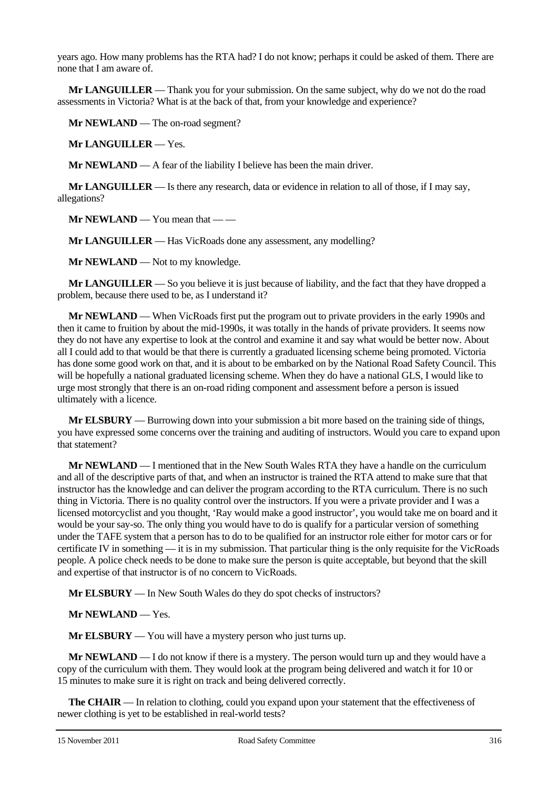years ago. How many problems has the RTA had? I do not know; perhaps it could be asked of them. There are none that I am aware of.

**Mr LANGUILLER** — Thank you for your submission. On the same subject, why do we not do the road assessments in Victoria? What is at the back of that, from your knowledge and experience?

**Mr NEWLAND** — The on-road segment?

**Mr LANGUILLER** — Yes.

**Mr NEWLAND** — A fear of the liability I believe has been the main driver.

**Mr LANGUILLER** — Is there any research, data or evidence in relation to all of those, if I may say, allegations?

**Mr NEWLAND** — You mean that — —

**Mr LANGUILLER** — Has VicRoads done any assessment, any modelling?

**Mr NEWLAND** — Not to my knowledge.

**Mr LANGUILLER** — So you believe it is just because of liability, and the fact that they have dropped a problem, because there used to be, as I understand it?

**Mr NEWLAND** — When VicRoads first put the program out to private providers in the early 1990s and then it came to fruition by about the mid-1990s, it was totally in the hands of private providers. It seems now they do not have any expertise to look at the control and examine it and say what would be better now. About all I could add to that would be that there is currently a graduated licensing scheme being promoted. Victoria has done some good work on that, and it is about to be embarked on by the National Road Safety Council. This will be hopefully a national graduated licensing scheme. When they do have a national GLS, I would like to urge most strongly that there is an on-road riding component and assessment before a person is issued ultimately with a licence.

**Mr ELSBURY** — Burrowing down into your submission a bit more based on the training side of things, you have expressed some concerns over the training and auditing of instructors. Would you care to expand upon that statement?

**Mr NEWLAND** — I mentioned that in the New South Wales RTA they have a handle on the curriculum and all of the descriptive parts of that, and when an instructor is trained the RTA attend to make sure that that instructor has the knowledge and can deliver the program according to the RTA curriculum. There is no such thing in Victoria. There is no quality control over the instructors. If you were a private provider and I was a licensed motorcyclist and you thought, 'Ray would make a good instructor', you would take me on board and it would be your say-so. The only thing you would have to do is qualify for a particular version of something under the TAFE system that a person has to do to be qualified for an instructor role either for motor cars or for certificate IV in something — it is in my submission. That particular thing is the only requisite for the VicRoads people. A police check needs to be done to make sure the person is quite acceptable, but beyond that the skill and expertise of that instructor is of no concern to VicRoads.

**Mr ELSBURY** — In New South Wales do they do spot checks of instructors?

**Mr NEWLAND** — Yes.

**Mr ELSBURY** — You will have a mystery person who just turns up.

**Mr NEWLAND** — I do not know if there is a mystery. The person would turn up and they would have a copy of the curriculum with them. They would look at the program being delivered and watch it for 10 or 15 minutes to make sure it is right on track and being delivered correctly.

**The CHAIR** — In relation to clothing, could you expand upon your statement that the effectiveness of newer clothing is yet to be established in real-world tests?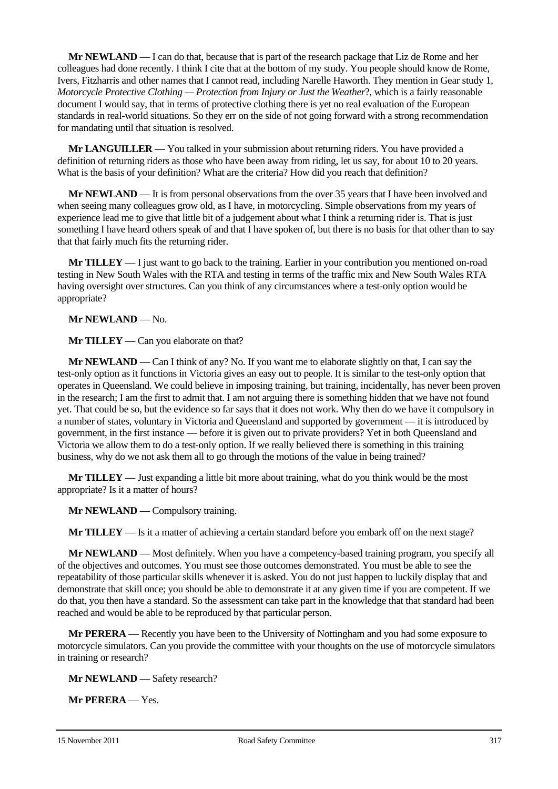**Mr NEWLAND** — I can do that, because that is part of the research package that Liz de Rome and her colleagues had done recently. I think I cite that at the bottom of my study. You people should know de Rome, Ivers, Fitzharris and other names that I cannot read, including Narelle Haworth. They mention in Gear study 1*, Motorcycle Protective Clothing — Protection from Injury or Just the Weather*?, which is a fairly reasonable document I would say, that in terms of protective clothing there is yet no real evaluation of the European standards in real-world situations. So they err on the side of not going forward with a strong recommendation for mandating until that situation is resolved.

**Mr LANGUILLER** — You talked in your submission about returning riders. You have provided a definition of returning riders as those who have been away from riding, let us say, for about 10 to 20 years. What is the basis of your definition? What are the criteria? How did you reach that definition?

**Mr NEWLAND** — It is from personal observations from the over 35 years that I have been involved and when seeing many colleagues grow old, as I have, in motorcycling. Simple observations from my years of experience lead me to give that little bit of a judgement about what I think a returning rider is. That is just something I have heard others speak of and that I have spoken of, but there is no basis for that other than to say that that fairly much fits the returning rider.

**Mr TILLEY** — I just want to go back to the training. Earlier in your contribution you mentioned on-road testing in New South Wales with the RTA and testing in terms of the traffic mix and New South Wales RTA having oversight over structures. Can you think of any circumstances where a test-only option would be appropriate?

**Mr NEWLAND** — No.

**Mr TILLEY** — Can you elaborate on that?

**Mr NEWLAND** — Can I think of any? No. If you want me to elaborate slightly on that, I can say the test-only option as it functions in Victoria gives an easy out to people. It is similar to the test-only option that operates in Queensland. We could believe in imposing training, but training, incidentally, has never been proven in the research; I am the first to admit that. I am not arguing there is something hidden that we have not found yet. That could be so, but the evidence so far says that it does not work. Why then do we have it compulsory in a number of states, voluntary in Victoria and Queensland and supported by government — it is introduced by government, in the first instance — before it is given out to private providers? Yet in both Queensland and Victoria we allow them to do a test-only option. If we really believed there is something in this training business, why do we not ask them all to go through the motions of the value in being trained?

**Mr TILLEY** — Just expanding a little bit more about training, what do you think would be the most appropriate? Is it a matter of hours?

**Mr NEWLAND** — Compulsory training.

**Mr TILLEY** — Is it a matter of achieving a certain standard before you embark off on the next stage?

**Mr NEWLAND** — Most definitely. When you have a competency-based training program, you specify all of the objectives and outcomes. You must see those outcomes demonstrated. You must be able to see the repeatability of those particular skills whenever it is asked. You do not just happen to luckily display that and demonstrate that skill once; you should be able to demonstrate it at any given time if you are competent. If we do that, you then have a standard. So the assessment can take part in the knowledge that that standard had been reached and would be able to be reproduced by that particular person.

**Mr PERERA** — Recently you have been to the University of Nottingham and you had some exposure to motorcycle simulators. Can you provide the committee with your thoughts on the use of motorcycle simulators in training or research?

**Mr NEWLAND** — Safety research?

**Mr PERERA** — Yes.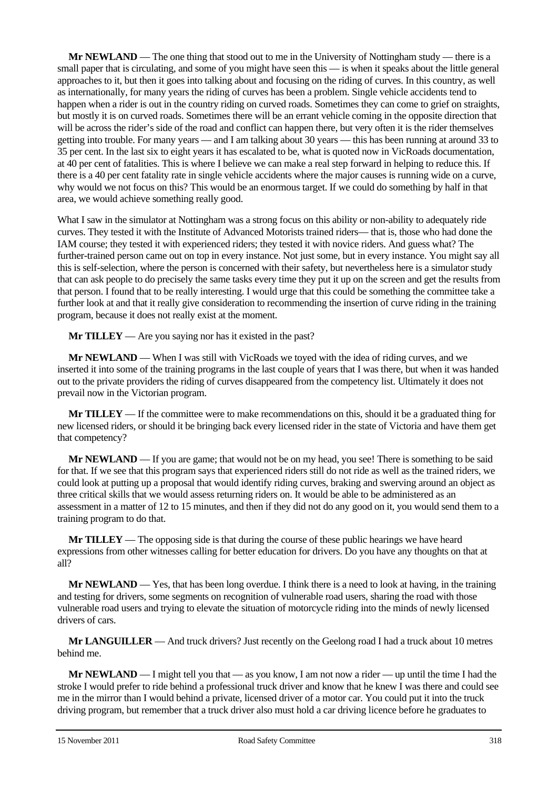**Mr NEWLAND** — The one thing that stood out to me in the University of Nottingham study — there is a small paper that is circulating, and some of you might have seen this — is when it speaks about the little general approaches to it, but then it goes into talking about and focusing on the riding of curves. In this country, as well as internationally, for many years the riding of curves has been a problem. Single vehicle accidents tend to happen when a rider is out in the country riding on curved roads. Sometimes they can come to grief on straights, but mostly it is on curved roads. Sometimes there will be an errant vehicle coming in the opposite direction that will be across the rider's side of the road and conflict can happen there, but very often it is the rider themselves getting into trouble. For many years — and I am talking about 30 years — this has been running at around 33 to 35 per cent. In the last six to eight years it has escalated to be, what is quoted now in VicRoads documentation, at 40 per cent of fatalities. This is where I believe we can make a real step forward in helping to reduce this. If there is a 40 per cent fatality rate in single vehicle accidents where the major causes is running wide on a curve, why would we not focus on this? This would be an enormous target. If we could do something by half in that area, we would achieve something really good.

What I saw in the simulator at Nottingham was a strong focus on this ability or non-ability to adequately ride curves. They tested it with the Institute of Advanced Motorists trained riders— that is, those who had done the IAM course; they tested it with experienced riders; they tested it with novice riders. And guess what? The further-trained person came out on top in every instance. Not just some, but in every instance. You might say all this is self-selection, where the person is concerned with their safety, but nevertheless here is a simulator study that can ask people to do precisely the same tasks every time they put it up on the screen and get the results from that person. I found that to be really interesting. I would urge that this could be something the committee take a further look at and that it really give consideration to recommending the insertion of curve riding in the training program, because it does not really exist at the moment.

**Mr TILLEY** — Are you saying nor has it existed in the past?

**Mr NEWLAND** — When I was still with VicRoads we toyed with the idea of riding curves, and we inserted it into some of the training programs in the last couple of years that I was there, but when it was handed out to the private providers the riding of curves disappeared from the competency list. Ultimately it does not prevail now in the Victorian program.

**Mr TILLEY** — If the committee were to make recommendations on this, should it be a graduated thing for new licensed riders, or should it be bringing back every licensed rider in the state of Victoria and have them get that competency?

**Mr NEWLAND** — If you are game; that would not be on my head, you see! There is something to be said for that. If we see that this program says that experienced riders still do not ride as well as the trained riders, we could look at putting up a proposal that would identify riding curves, braking and swerving around an object as three critical skills that we would assess returning riders on. It would be able to be administered as an assessment in a matter of 12 to 15 minutes, and then if they did not do any good on it, you would send them to a training program to do that.

**Mr TILLEY** — The opposing side is that during the course of these public hearings we have heard expressions from other witnesses calling for better education for drivers. Do you have any thoughts on that at all?

**Mr NEWLAND** — Yes, that has been long overdue. I think there is a need to look at having, in the training and testing for drivers, some segments on recognition of vulnerable road users, sharing the road with those vulnerable road users and trying to elevate the situation of motorcycle riding into the minds of newly licensed drivers of cars.

**Mr LANGUILLER** — And truck drivers? Just recently on the Geelong road I had a truck about 10 metres behind me.

**Mr NEWLAND** — I might tell you that — as you know, I am not now a rider — up until the time I had the stroke I would prefer to ride behind a professional truck driver and know that he knew I was there and could see me in the mirror than I would behind a private, licensed driver of a motor car. You could put it into the truck driving program, but remember that a truck driver also must hold a car driving licence before he graduates to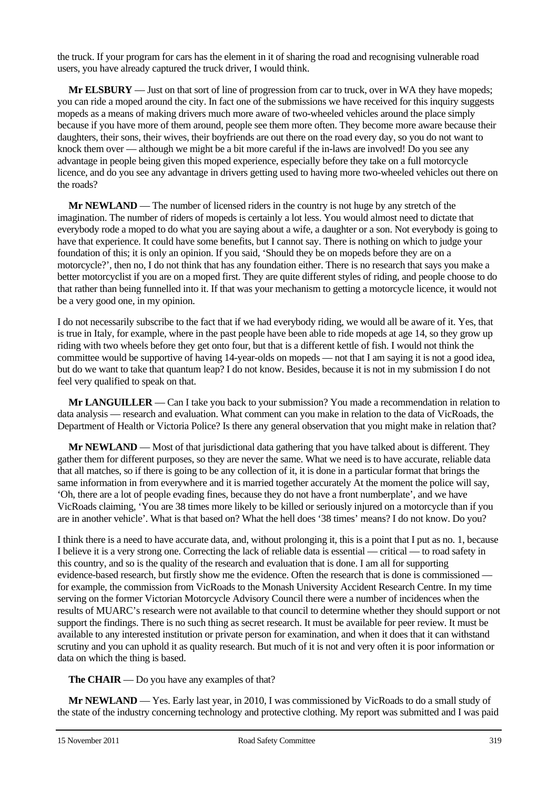the truck. If your program for cars has the element in it of sharing the road and recognising vulnerable road users, you have already captured the truck driver, I would think.

**Mr ELSBURY** — Just on that sort of line of progression from car to truck, over in WA they have mopeds; you can ride a moped around the city. In fact one of the submissions we have received for this inquiry suggests mopeds as a means of making drivers much more aware of two-wheeled vehicles around the place simply because if you have more of them around, people see them more often. They become more aware because their daughters, their sons, their wives, their boyfriends are out there on the road every day, so you do not want to knock them over — although we might be a bit more careful if the in-laws are involved! Do you see any advantage in people being given this moped experience, especially before they take on a full motorcycle licence, and do you see any advantage in drivers getting used to having more two-wheeled vehicles out there on the roads?

**Mr NEWLAND** — The number of licensed riders in the country is not huge by any stretch of the imagination. The number of riders of mopeds is certainly a lot less. You would almost need to dictate that everybody rode a moped to do what you are saying about a wife, a daughter or a son. Not everybody is going to have that experience. It could have some benefits, but I cannot say. There is nothing on which to judge your foundation of this; it is only an opinion. If you said, 'Should they be on mopeds before they are on a motorcycle?', then no, I do not think that has any foundation either. There is no research that says you make a better motorcyclist if you are on a moped first. They are quite different styles of riding, and people choose to do that rather than being funnelled into it. If that was your mechanism to getting a motorcycle licence, it would not be a very good one, in my opinion.

I do not necessarily subscribe to the fact that if we had everybody riding, we would all be aware of it. Yes, that is true in Italy, for example, where in the past people have been able to ride mopeds at age 14, so they grow up riding with two wheels before they get onto four, but that is a different kettle of fish. I would not think the committee would be supportive of having 14-year-olds on mopeds — not that I am saying it is not a good idea, but do we want to take that quantum leap? I do not know. Besides, because it is not in my submission I do not feel very qualified to speak on that.

**Mr LANGUILLER** — Can I take you back to your submission? You made a recommendation in relation to data analysis — research and evaluation. What comment can you make in relation to the data of VicRoads, the Department of Health or Victoria Police? Is there any general observation that you might make in relation that?

**Mr NEWLAND** — Most of that jurisdictional data gathering that you have talked about is different. They gather them for different purposes, so they are never the same. What we need is to have accurate, reliable data that all matches, so if there is going to be any collection of it, it is done in a particular format that brings the same information in from everywhere and it is married together accurately At the moment the police will say, 'Oh, there are a lot of people evading fines, because they do not have a front numberplate', and we have VicRoads claiming, 'You are 38 times more likely to be killed or seriously injured on a motorcycle than if you are in another vehicle'. What is that based on? What the hell does '38 times' means? I do not know. Do you?

I think there is a need to have accurate data, and, without prolonging it, this is a point that I put as no. 1, because I believe it is a very strong one. Correcting the lack of reliable data is essential — critical — to road safety in this country, and so is the quality of the research and evaluation that is done. I am all for supporting evidence-based research, but firstly show me the evidence. Often the research that is done is commissioned for example, the commission from VicRoads to the Monash University Accident Research Centre. In my time serving on the former Victorian Motorcycle Advisory Council there were a number of incidences when the results of MUARC's research were not available to that council to determine whether they should support or not support the findings. There is no such thing as secret research. It must be available for peer review. It must be available to any interested institution or private person for examination, and when it does that it can withstand scrutiny and you can uphold it as quality research. But much of it is not and very often it is poor information or data on which the thing is based.

**The CHAIR** — Do you have any examples of that?

**Mr NEWLAND** — Yes. Early last year, in 2010, I was commissioned by VicRoads to do a small study of the state of the industry concerning technology and protective clothing. My report was submitted and I was paid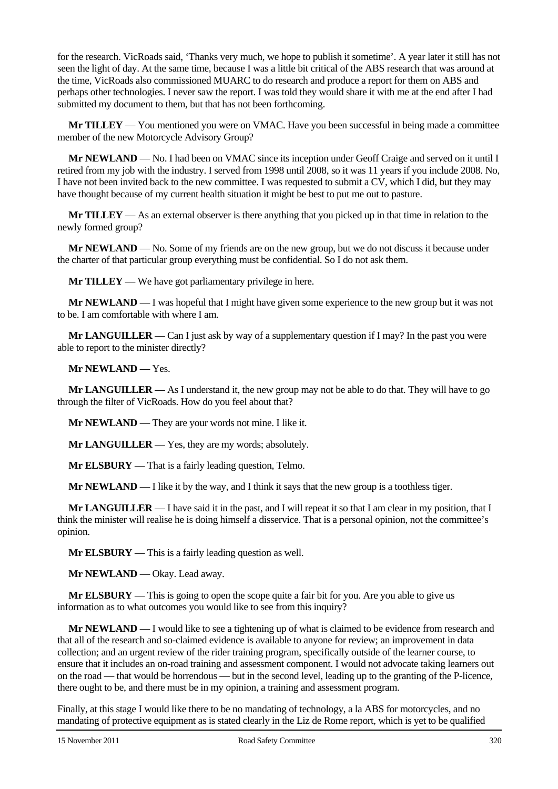for the research. VicRoads said, 'Thanks very much, we hope to publish it sometime'. A year later it still has not seen the light of day. At the same time, because I was a little bit critical of the ABS research that was around at the time, VicRoads also commissioned MUARC to do research and produce a report for them on ABS and perhaps other technologies. I never saw the report. I was told they would share it with me at the end after I had submitted my document to them, but that has not been forthcoming.

**Mr TILLEY** — You mentioned you were on VMAC. Have you been successful in being made a committee member of the new Motorcycle Advisory Group?

**Mr NEWLAND** — No. I had been on VMAC since its inception under Geoff Craige and served on it until I retired from my job with the industry. I served from 1998 until 2008, so it was 11 years if you include 2008. No, I have not been invited back to the new committee. I was requested to submit a CV, which I did, but they may have thought because of my current health situation it might be best to put me out to pasture.

**Mr TILLEY** — As an external observer is there anything that you picked up in that time in relation to the newly formed group?

**Mr NEWLAND** — No. Some of my friends are on the new group, but we do not discuss it because under the charter of that particular group everything must be confidential. So I do not ask them.

**Mr TILLEY** — We have got parliamentary privilege in here.

**Mr NEWLAND** — I was hopeful that I might have given some experience to the new group but it was not to be. I am comfortable with where I am.

**Mr LANGUILLER** — Can I just ask by way of a supplementary question if I may? In the past you were able to report to the minister directly?

**Mr NEWLAND** — Yes.

**Mr LANGUILLER** — As I understand it, the new group may not be able to do that. They will have to go through the filter of VicRoads. How do you feel about that?

**Mr NEWLAND** — They are your words not mine. I like it.

**Mr LANGUILLER** — Yes, they are my words; absolutely.

**Mr ELSBURY** — That is a fairly leading question, Telmo.

**Mr NEWLAND** — I like it by the way, and I think it says that the new group is a toothless tiger.

**Mr LANGUILLER** — I have said it in the past, and I will repeat it so that I am clear in my position, that I think the minister will realise he is doing himself a disservice. That is a personal opinion, not the committee's opinion.

**Mr ELSBURY** — This is a fairly leading question as well.

**Mr NEWLAND** — Okay. Lead away.

**Mr ELSBURY** — This is going to open the scope quite a fair bit for you. Are you able to give us information as to what outcomes you would like to see from this inquiry?

**Mr NEWLAND** — I would like to see a tightening up of what is claimed to be evidence from research and that all of the research and so-claimed evidence is available to anyone for review; an improvement in data collection; and an urgent review of the rider training program, specifically outside of the learner course, to ensure that it includes an on-road training and assessment component. I would not advocate taking learners out on the road — that would be horrendous — but in the second level, leading up to the granting of the P-licence, there ought to be, and there must be in my opinion, a training and assessment program.

Finally, at this stage I would like there to be no mandating of technology, a la ABS for motorcycles, and no mandating of protective equipment as is stated clearly in the Liz de Rome report, which is yet to be qualified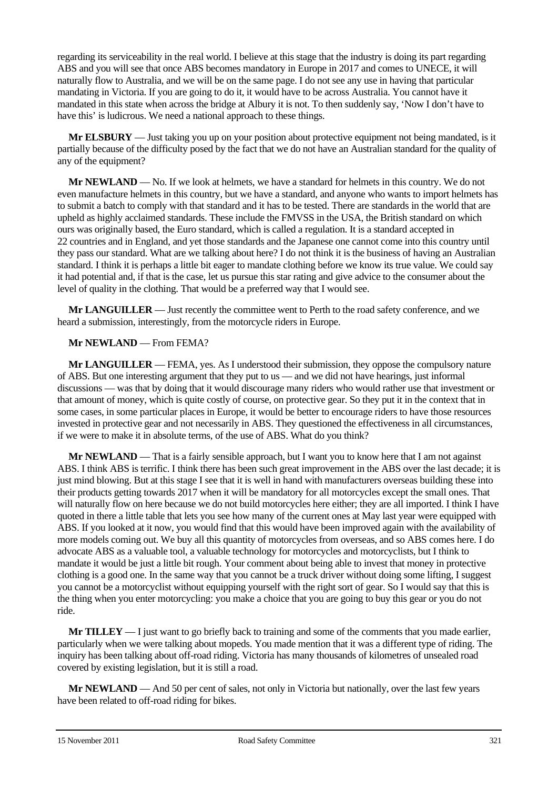regarding its serviceability in the real world. I believe at this stage that the industry is doing its part regarding ABS and you will see that once ABS becomes mandatory in Europe in 2017 and comes to UNECE, it will naturally flow to Australia, and we will be on the same page. I do not see any use in having that particular mandating in Victoria. If you are going to do it, it would have to be across Australia. You cannot have it mandated in this state when across the bridge at Albury it is not. To then suddenly say, 'Now I don't have to have this' is ludicrous. We need a national approach to these things.

**Mr ELSBURY** — Just taking you up on your position about protective equipment not being mandated, is it partially because of the difficulty posed by the fact that we do not have an Australian standard for the quality of any of the equipment?

**Mr NEWLAND** — No. If we look at helmets, we have a standard for helmets in this country. We do not even manufacture helmets in this country, but we have a standard, and anyone who wants to import helmets has to submit a batch to comply with that standard and it has to be tested. There are standards in the world that are upheld as highly acclaimed standards. These include the FMVSS in the USA, the British standard on which ours was originally based, the Euro standard, which is called a regulation. It is a standard accepted in 22 countries and in England, and yet those standards and the Japanese one cannot come into this country until they pass our standard. What are we talking about here? I do not think it is the business of having an Australian standard. I think it is perhaps a little bit eager to mandate clothing before we know its true value. We could say it had potential and, if that is the case, let us pursue this star rating and give advice to the consumer about the level of quality in the clothing. That would be a preferred way that I would see.

**Mr LANGUILLER** — Just recently the committee went to Perth to the road safety conference, and we heard a submission, interestingly, from the motorcycle riders in Europe.

### **Mr NEWLAND** — From FEMA?

**Mr LANGUILLER** — FEMA, yes. As I understood their submission, they oppose the compulsory nature of ABS. But one interesting argument that they put to us — and we did not have hearings, just informal discussions — was that by doing that it would discourage many riders who would rather use that investment or that amount of money, which is quite costly of course, on protective gear. So they put it in the context that in some cases, in some particular places in Europe, it would be better to encourage riders to have those resources invested in protective gear and not necessarily in ABS. They questioned the effectiveness in all circumstances, if we were to make it in absolute terms, of the use of ABS. What do you think?

**Mr NEWLAND** — That is a fairly sensible approach, but I want you to know here that I am not against ABS. I think ABS is terrific. I think there has been such great improvement in the ABS over the last decade; it is just mind blowing. But at this stage I see that it is well in hand with manufacturers overseas building these into their products getting towards 2017 when it will be mandatory for all motorcycles except the small ones. That will naturally flow on here because we do not build motorcycles here either; they are all imported. I think I have quoted in there a little table that lets you see how many of the current ones at May last year were equipped with ABS. If you looked at it now, you would find that this would have been improved again with the availability of more models coming out. We buy all this quantity of motorcycles from overseas, and so ABS comes here. I do advocate ABS as a valuable tool, a valuable technology for motorcycles and motorcyclists, but I think to mandate it would be just a little bit rough. Your comment about being able to invest that money in protective clothing is a good one. In the same way that you cannot be a truck driver without doing some lifting, I suggest you cannot be a motorcyclist without equipping yourself with the right sort of gear. So I would say that this is the thing when you enter motorcycling: you make a choice that you are going to buy this gear or you do not ride.

**Mr TILLEY** — I just want to go briefly back to training and some of the comments that you made earlier, particularly when we were talking about mopeds. You made mention that it was a different type of riding. The inquiry has been talking about off-road riding. Victoria has many thousands of kilometres of unsealed road covered by existing legislation, but it is still a road.

**Mr NEWLAND** — And 50 per cent of sales, not only in Victoria but nationally, over the last few years have been related to off-road riding for bikes.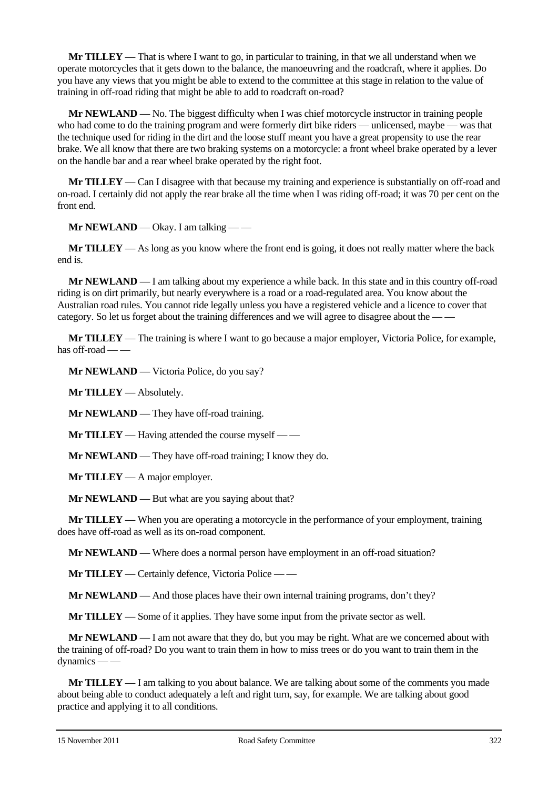**Mr TILLEY** — That is where I want to go, in particular to training, in that we all understand when we operate motorcycles that it gets down to the balance, the manoeuvring and the roadcraft, where it applies. Do you have any views that you might be able to extend to the committee at this stage in relation to the value of training in off-road riding that might be able to add to roadcraft on-road?

**Mr NEWLAND** — No. The biggest difficulty when I was chief motorcycle instructor in training people who had come to do the training program and were formerly dirt bike riders — unlicensed, maybe — was that the technique used for riding in the dirt and the loose stuff meant you have a great propensity to use the rear brake. We all know that there are two braking systems on a motorcycle: a front wheel brake operated by a lever on the handle bar and a rear wheel brake operated by the right foot.

**Mr TILLEY** — Can I disagree with that because my training and experience is substantially on off-road and on-road. I certainly did not apply the rear brake all the time when I was riding off-road; it was 70 per cent on the front end.

**Mr NEWLAND** — Okay. I am talking — —

**Mr TILLEY** — As long as you know where the front end is going, it does not really matter where the back end is.

**Mr NEWLAND** — I am talking about my experience a while back. In this state and in this country off-road riding is on dirt primarily, but nearly everywhere is a road or a road-regulated area. You know about the Australian road rules. You cannot ride legally unless you have a registered vehicle and a licence to cover that category. So let us forget about the training differences and we will agree to disagree about the — —

**Mr TILLEY** — The training is where I want to go because a major employer, Victoria Police, for example, has off-road  $-\frac{1}{2}$ 

**Mr NEWLAND** — Victoria Police, do you say?

**Mr TILLEY** — Absolutely.

**Mr NEWLAND** — They have off-road training.

**Mr TILLEY** — Having attended the course myself — —

**Mr NEWLAND** — They have off-road training; I know they do.

**Mr TILLEY** — A major employer.

**Mr NEWLAND** — But what are you saying about that?

**Mr TILLEY** — When you are operating a motorcycle in the performance of your employment, training does have off-road as well as its on-road component.

**Mr NEWLAND** — Where does a normal person have employment in an off-road situation?

**Mr TILLEY** — Certainly defence, Victoria Police — —

**Mr NEWLAND** — And those places have their own internal training programs, don't they?

**Mr TILLEY** — Some of it applies. They have some input from the private sector as well.

**Mr NEWLAND** — I am not aware that they do, but you may be right. What are we concerned about with the training of off-road? Do you want to train them in how to miss trees or do you want to train them in the dynamics — —

**Mr TILLEY** — I am talking to you about balance. We are talking about some of the comments you made about being able to conduct adequately a left and right turn, say, for example. We are talking about good practice and applying it to all conditions.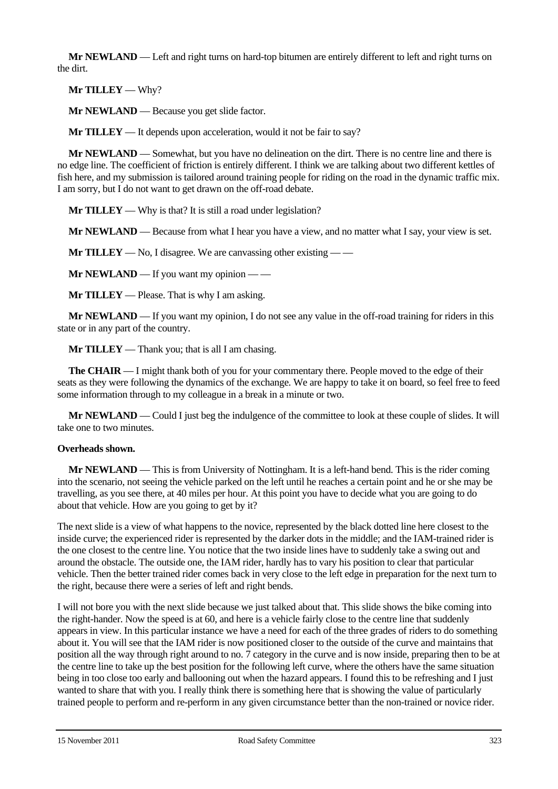**Mr NEWLAND** — Left and right turns on hard-top bitumen are entirely different to left and right turns on the dirt.

**Mr TILLEY** — Why?

**Mr NEWLAND** — Because you get slide factor.

**Mr TILLEY** — It depends upon acceleration, would it not be fair to say?

**Mr NEWLAND** — Somewhat, but you have no delineation on the dirt. There is no centre line and there is no edge line. The coefficient of friction is entirely different. I think we are talking about two different kettles of fish here, and my submission is tailored around training people for riding on the road in the dynamic traffic mix. I am sorry, but I do not want to get drawn on the off-road debate.

**Mr TILLEY** — Why is that? It is still a road under legislation?

**Mr NEWLAND** — Because from what I hear you have a view, and no matter what I say, your view is set.

**Mr TILLEY** — No, I disagree. We are canvassing other existing — —

**Mr NEWLAND** — If you want my opinion — —

**Mr TILLEY** — Please. That is why I am asking.

**Mr NEWLAND** — If you want my opinion, I do not see any value in the off-road training for riders in this state or in any part of the country.

**Mr TILLEY** — Thank you; that is all I am chasing.

**The CHAIR** — I might thank both of you for your commentary there. People moved to the edge of their seats as they were following the dynamics of the exchange. We are happy to take it on board, so feel free to feed some information through to my colleague in a break in a minute or two.

**Mr NEWLAND** — Could I just beg the indulgence of the committee to look at these couple of slides. It will take one to two minutes.

### **Overheads shown.**

**Mr NEWLAND** — This is from University of Nottingham. It is a left-hand bend. This is the rider coming into the scenario, not seeing the vehicle parked on the left until he reaches a certain point and he or she may be travelling, as you see there, at 40 miles per hour. At this point you have to decide what you are going to do about that vehicle. How are you going to get by it?

The next slide is a view of what happens to the novice, represented by the black dotted line here closest to the inside curve; the experienced rider is represented by the darker dots in the middle; and the IAM-trained rider is the one closest to the centre line. You notice that the two inside lines have to suddenly take a swing out and around the obstacle. The outside one, the IAM rider, hardly has to vary his position to clear that particular vehicle. Then the better trained rider comes back in very close to the left edge in preparation for the next turn to the right, because there were a series of left and right bends.

I will not bore you with the next slide because we just talked about that. This slide shows the bike coming into the right-hander. Now the speed is at 60, and here is a vehicle fairly close to the centre line that suddenly appears in view. In this particular instance we have a need for each of the three grades of riders to do something about it. You will see that the IAM rider is now positioned closer to the outside of the curve and maintains that position all the way through right around to no. 7 category in the curve and is now inside, preparing then to be at the centre line to take up the best position for the following left curve, where the others have the same situation being in too close too early and ballooning out when the hazard appears. I found this to be refreshing and I just wanted to share that with you. I really think there is something here that is showing the value of particularly trained people to perform and re-perform in any given circumstance better than the non-trained or novice rider.